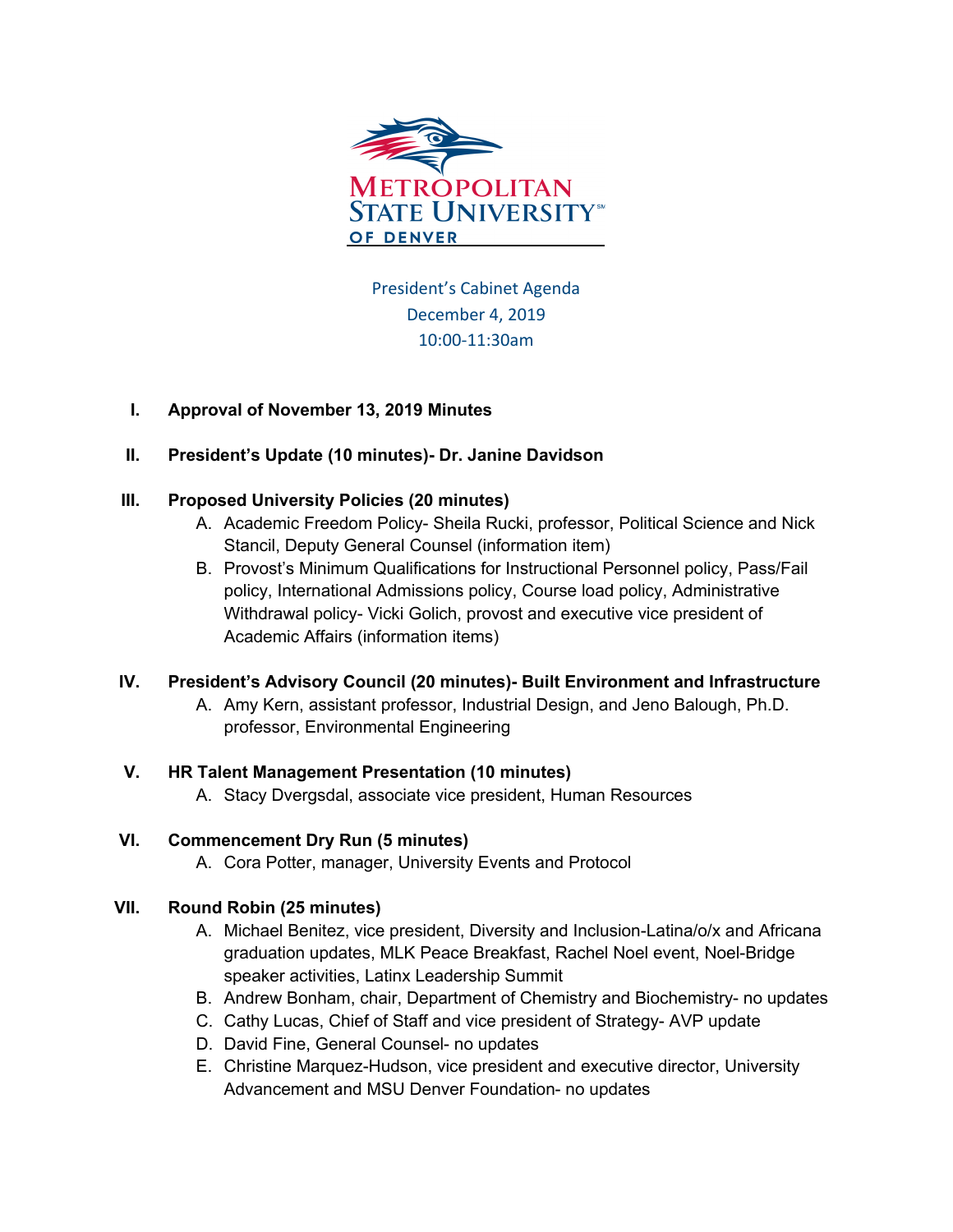

President's Cabinet Agenda December 4, 2019 10:00-11:30am

# **I. Approval of November 13, 2019 Minutes**

# **II. President's Update (10 minutes)- Dr. Janine Davidson**

# **III. Proposed University Policies (20 minutes)**

- A. Academic Freedom Policy- Sheila Rucki, professor, Political Science and Nick Stancil, Deputy General Counsel (information item)
- B. Provost's Minimum Qualifications for Instructional Personnel policy, Pass/Fail policy, International Admissions policy, Course load policy, Administrative Withdrawal policy- Vicki Golich, provost and executive vice president of Academic Affairs (information items)

# **IV. President's Advisory Council (20 minutes)- Built Environment and Infrastructure**

A. Amy Kern, assistant professor, Industrial Design, and Jeno Balough, Ph.D. professor, Environmental Engineering

# **V. HR Talent Management Presentation (10 minutes)**

A. Stacy Dvergsdal, associate vice president, Human Resources

# **VI. Commencement Dry Run (5 minutes)**

A. Cora Potter, manager, University Events and Protocol

# **VII. Round Robin (25 minutes)**

- A. Michael Benitez, vice president, Diversity and Inclusion-Latina/o/x and Africana graduation updates, MLK Peace Breakfast, Rachel Noel event, Noel-Bridge speaker activities, Latinx Leadership Summit
- B. Andrew Bonham, chair, Department of Chemistry and Biochemistry- no updates
- C. Cathy Lucas, Chief of Staff and vice president of Strategy- AVP update
- D. David Fine, General Counsel- no updates
- E. Christine Marquez-Hudson, vice president and executive director, University Advancement and MSU Denver Foundation- no updates